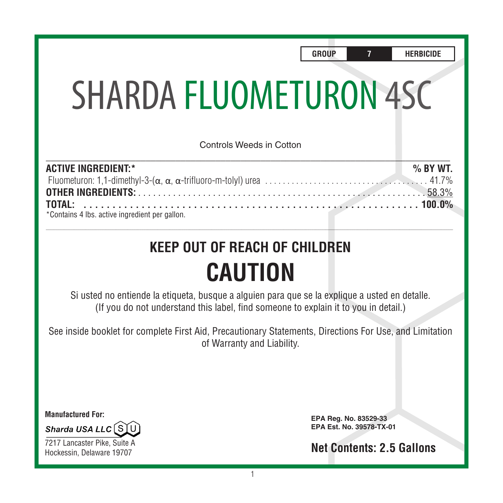| <b>SHARDA FLUOMETURON 4SC</b>                                                                 | <b>GROUP</b><br>7<br>HERBIGIDE |
|-----------------------------------------------------------------------------------------------|--------------------------------|
| Controls Weeds in Cotton                                                                      |                                |
| <b>ACTIVE INGREDIENT:*</b><br><b>TOTAL:</b><br>*Contains 4 lbs. active ingredient per gallon. | $\%$ BY WT.<br>58.3%<br>100 Q% |

# **KEEP OUT OF REACH OF CHILDREN CAUTION**

Si usted no entiende la etiqueta, busque a alguien para que se la explique a usted en detalle. (If you do not understand this label, find someone to explain it to you in detail.)

See inside booklet for complete First Aid, Precautionary Statements, Directions For Use, and Limitation of Warranty and Liability.

**Manufactured For:**

Sharda USA LLC SL

7217 Lancaster Pike, Suite A Hockessin, Delaware 19707

**EPA Reg. No. 83529-33 EPA Est. No. 39578-TX-01**

**Net Contents: 2.5 Gallons**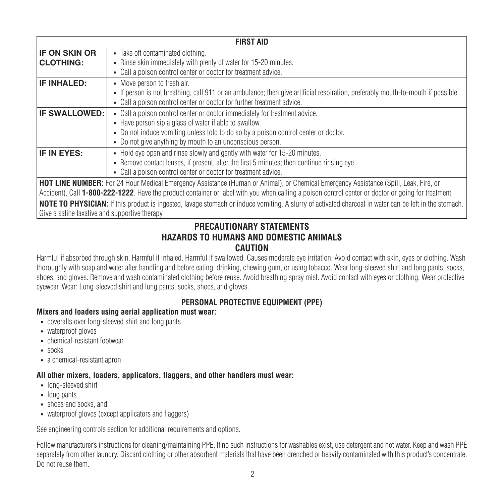|                                                | <b>FIRST AID</b>                                                                                                                                       |
|------------------------------------------------|--------------------------------------------------------------------------------------------------------------------------------------------------------|
| <b>IF ON SKIN OR</b>                           | • Take off contaminated clothing.                                                                                                                      |
| <b>CLOTHING:</b>                               | • Rinse skin immediately with plenty of water for 15-20 minutes.                                                                                       |
|                                                | • Call a poison control center or doctor for treatment advice.                                                                                         |
| <b>IF INHALED:</b>                             | • Move person to fresh air.                                                                                                                            |
|                                                | • If person is not breathing, call 911 or an ambulance; then give artificial respiration, preferably mouth-to-mouth if possible.                       |
|                                                | • Call a poison control center or doctor for further treatment advice.                                                                                 |
| <b>IF SWALLOWED:</b>                           | • Call a poison control center or doctor immediately for treatment advice.                                                                             |
|                                                | • Have person sip a glass of water if able to swallow.                                                                                                 |
|                                                | • Do not induce vomiting unless told to do so by a poison control center or doctor.                                                                    |
|                                                | • Do not give anything by mouth to an unconscious person.                                                                                              |
| IF IN EYES:                                    | • Hold eye open and rinse slowly and gently with water for 15-20 minutes.                                                                              |
|                                                | • Remove contact lenses, if present, after the first 5 minutes; then continue rinsing eye.                                                             |
|                                                | • Call a poison control center or doctor for treatment advice.                                                                                         |
|                                                | <b>HOT LINE NUMBER:</b> For 24 Hour Medical Emergency Assistance (Human or Animal), or Chemical Emergency Assistance (Spill, Leak, Fire, or            |
|                                                | Accident), Call 1-800-222-1222. Have the product container or label with you when calling a poison control center or doctor or going for treatment.    |
|                                                | NOTE TO PHYSICIAN: If this product is ingested, lavage stomach or induce vomiting. A slurry of activated charcoal in water can be left in the stomach. |
| Give a saline laxative and supportive therapy. |                                                                                                                                                        |

## **PRECAUTIONARY STATEMENTS HAZARDS TO HUMANS AND DOMESTIC ANIMALS CAUTION**

Harmful if absorbed through skin. Harmful if inhaled. Harmful if swallowed. Causes moderate eye irritation. Avoid contact with skin, eyes or clothing. Wash thoroughly with soap and water after handling and before eating, drinking, chewing gum, or using tobacco. Wear long-sleeved shirt and long pants, socks, shoes, and gloves. Remove and wash contaminated clothing before reuse. Avoid breathing spray mist. Avoid contact with eyes or clothing. Wear protective eyewear. Wear: Long-sleeved shirt and long pants, socks, shoes, and gloves.

## **PERSONAL PROTECTIVE EQUIPMENT (PPE)**

#### **Mixers and loaders using aerial application must wear:**

- coveralls over long-sleeved shirt and long pants
- waterproof gloves
- chemical-resistant footwear
- socks
- a chemical-resistant apron

## **All other mixers, loaders, applicators, flaggers, and other handlers must wear:**

- long-sleeved shirt
- long pants
- shoes and socks, and
- waterproof gloves (except applicators and flaggers)

See engineering controls section for additional requirements and options.

Follow manufacturer's instructions for cleaning/maintaining PPE. If no such instructions for washables exist, use detergent and hot water. Keep and wash PPE separately from other laundry. Discard clothing or other absorbent materials that have been drenched or heavily contaminated with this product's concentrate. Do not reuse them.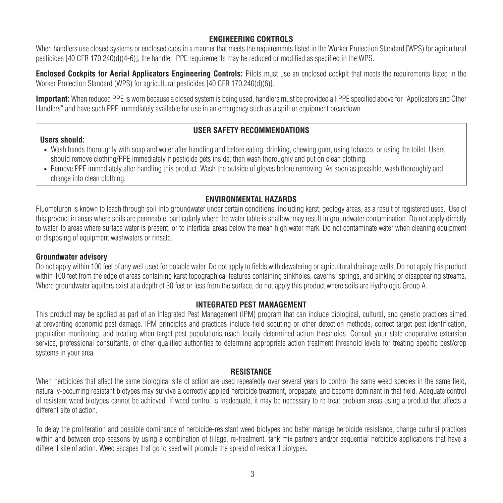## **ENGINEERING CONTROLS**

When handlers use closed systems or enclosed cabs in a manner that meets the requirements listed in the Worker Protection Standard [WPS) for agricultural pesticides [40 CFR 170.240(d)(4-6)], the handler PPE requirements may be reduced or modified as specified in the WPS.

**Enclosed Cockpits for Aerial Applicators Engineering Controls:** Pilots must use an enclosed cockpit that meets the requirements listed in the Worker Protection Standard (WPS) for agricultural pesticides [40 CFR 170.240(d)(6)].

**Important:** When reduced PPE is worn because a closed system is being used, handlers must be provided all PPE specified above for "Applicators and Other Handlers" and have such PPE immediately available for use in an emergency such as a spill or equipment breakdown.

#### **Users should:**

### **USER SAFETY RECOMMENDATIONS**

- Wash hands thoroughly with soap and water after handling and before eating, drinking, chewing gum, using tobacco, or using the toilet. Users should remove clothing/PPE immediately if pesticide gets inside; then wash thoroughly and put on clean clothing.
- Remove PPE immediately after handling this product. Wash the outside of gloves before removing. As soon as possible, wash thoroughly and change into clean clothing.

## **ENVIRONMENTAL HAZARDS**

Fluometuron is known to leach through soil into groundwater under certain conditions, including karst, geology areas, as a result of registered uses. Use of this product in areas where soils are permeable, particularly where the water table is shallow, may result in groundwater contamination. Do not apply directly to water, to areas where surface water is present, or to intertidal areas below the mean high water mark. Do not contaminate water when cleaning equipment or disposing of equipment washwaters or rinsate.

#### **Groundwater advisory**

Do not apply within 100 feet of any well used for potable water. Do not apply to fields with dewatering or agricultural drainage wells. Do not apply this product within 100 feet from the edge of areas containing karst topographical features containing sinkholes, caverns, springs, and sinking or disappearing streams. Where groundwater aquifers exist at a depth of 30 feet or less from the surface, do not apply this product where soils are Hydrologic Group A.

## **INTEGRATED PEST MANAGEMENT**

This product may be applied as part of an Integrated Pest Management (IPM) program that can include biological, cultural, and genetic practices aimed at preventing economic pest damage. IPM principles and practices include field scouting or other detection methods, correct target pest identification, population monitoring, and treating when target pest populations reach locally determined action thresholds. Consult your state cooperative extension service, professional consultants, or other qualified authorities to determine appropriate action treatment threshold levels for treating specific pest/crop systems in your area.

#### **RESISTANCE**

When herbicides that affect the same biological site of action are used repeatedly over several years to control the same weed species in the same field, naturally-occurring resistant biotypes may survive a correctly applied herbicide treatment, propagate, and become dominant in that field. Adequate control of resistant weed biotypes cannot be achieved. If weed control is inadequate, it may be necessary to re-treat problem areas using a product that affects a different site of action.

To delay the proliferation and possible dominance of herbicide-resistant weed biotypes and better manage herbicide resistance, change cultural practices within and between crop seasons by using a combination of tillage, re-treatment, tank mix partners and/or sequential herbicide applications that have a different site of action. Weed escapes that go to seed will promote the spread of resistant biotypes.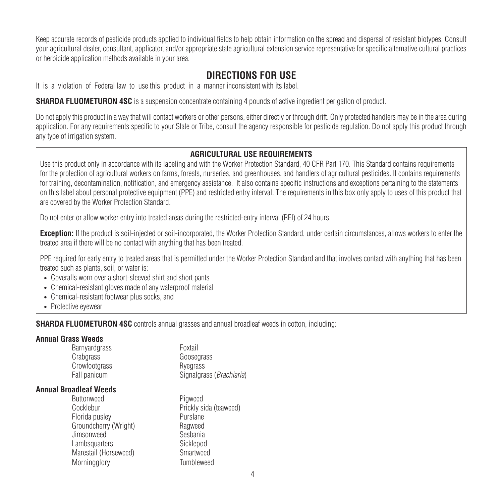Keep accurate records of pesticide products applied to individual fields to help obtain information on the spread and dispersal of resistant biotypes. Consult your agricultural dealer, consultant, applicator, and/or appropriate state agricultural extension service representative for specific alternative cultural practices or herbicide application methods available in your area.

## **DIRECTIONS FOR USE**

It is a violation of Federal law to use this product in a manner inconsistent with its label.

**SHARDA FLUOMETURON 4SC** is a suspension concentrate containing 4 pounds of active ingredient per gallon of product.

Do not apply this product in a way that will contact workers or other persons, either directly or through drift. Only protected handlers may be in the area during application. For any requirements specific to your State or Tribe, consult the agency responsible for pesticide regulation. Do not apply this product through any type of irrigation system.

## **AGRICULTURAL USE REQUIREMENTS**

Use this product only in accordance with its labeling and with the Worker Protection Standard, 40 CFR Part 170. This Standard contains requirements for the protection of agricultural workers on farms, forests, nurseries, and greenhouses, and handlers of agricultural pesticides. It contains requirements for training, decontamination, notification, and emergency assistance. It also contains specific instructions and exceptions pertaining to the statements on this label about personal protective equipment (PPE) and restricted entry interval. The requirements in this box only apply to uses of this product that are covered by the Worker Protection Standard.

Do not enter or allow worker entry into treated areas during the restricted-entry interval (REI) of 24 hours.

**Exception:** If the product is soil-injected or soil-incorporated, the Worker Protection Standard, under certain circumstances, allows workers to enter the treated area if there will be no contact with anything that has been treated.

PPE required for early entry to treated areas that is permitted under the Worker Protection Standard and that involves contact with anything that has been treated such as plants, soil, or water is:

- Coveralls worn over a short-sleeved shirt and short pants
- Chemical-resistant gloves made of any waterproof material
- Chemical-resistant footwear plus socks, and
- Protective eyewear

**SHARDA FLUOMETURON 4SC** controls annual grasses and annual broadleaf weeds in cotton, including:

## **Annual Grass Weeds**

Barnyardgrass **Foxtail** Crabgrass Goosegrass Crowfootgrass Ryegrass Fall panicum Signalgrass (*Brachiaria*)

## **Annual Broadleaf Weeds**

Buttonweed Pigweed Cocklebur **Prickly** sida (teaweed) Florida pusley **Purslane** Groundcherry (Wright) Ragweed Jimsonweed Sesbania Lambsquarters Sicklepod Marestail (Horseweed) Smartweed Morningglory **Tumbleweed**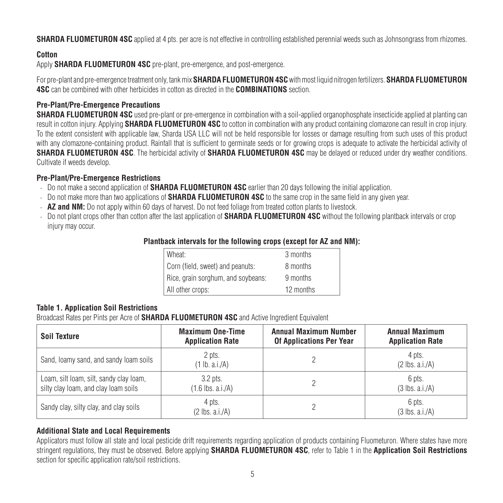**SHARDA FLUOMETURON 4SC** applied at 4 pts. per acre is not effective in controlling established perennial weeds such as Johnsongrass from rhizomes.

## **Cotton**

Apply **SHARDA FLUOMETURON 4SC** pre-plant, pre-emergence, and post-emergence.

For pre-plant and pre-emergence treatment only, tank mix **SHARDA FLUOMETURON 4SC** with most liquid nitrogen fertilizers. **SHARDA FLUOMETURON 4SC** can be combined with other herbicides in cotton as directed in the **COMBINATIONS** section.

## **Pre-Plant/Pre-Emergence Precautions**

**SHARDA FLUOMETURON 4SC** used pre-plant or pre-emergence in combination with a soil-applied organophosphate insecticide applied at planting can result in cotton injury. Applying **SHARDA FLUOMETURON 4SC** to cotton in combination with any product containing clomazone can result in crop injury. To the extent consistent with applicable law, Sharda USA LLC will not be held responsible for losses or damage resulting from such uses of this product with any clomazone-containing product. Rainfall that is sufficient to germinate seeds or for growing crops is adequate to activate the herbicidal activity of **SHARDA FLUOMETURON 4SC**. The herbicidal activity of **SHARDA FLUOMETURON 4SC** may be delayed or reduced under dry weather conditions. Cultivate if weeds develop.

### **Pre-Plant/Pre-Emergence Restrictions**

- Do not make a second application of **SHARDA FLUOMETURON 4SC** earlier than 20 days following the initial application.
- Do not make more than two applications of **SHARDA FLUOMETURON 4SC** to the same crop in the same field in any given year.
- **AZ and NM:** Do not apply within 60 days of harvest. Do not feed foliage from treated cotton plants to livestock.
- Do not plant crops other than cotton after the last application of **SHARDA FLUOMETURON 4SC** without the following plantback intervals or crop injury may occur.

### **Plantback intervals for the following crops (except for AZ and NM):**

| Wheat:                             | 3 months  |
|------------------------------------|-----------|
| Corn (field, sweet) and peanuts:   | 8 months  |
| Rice, grain sorghum, and soybeans: | 9 months  |
| All other crops:                   | 12 months |

## **Table 1. Application Soil Restrictions**

Broadcast Rates per Pints per Acre of **SHARDA FLUOMETURON 4SC** and Active Ingredient Equivalent

| <b>Soil Texture</b>                     | <b>Maximum One-Time</b>     | <b>Annual Maximum Number</b>    | <b>Annual Maximum</b>       |
|-----------------------------------------|-----------------------------|---------------------------------|-----------------------------|
|                                         | <b>Application Rate</b>     | <b>Of Applications Per Year</b> | <b>Application Rate</b>     |
| Sand, loamy sand, and sandy loam soils  | 2 pts.<br>$(1$ lb. a.i./A)  |                                 | 4 pts.<br>$(2$ lbs. a.i./A) |
| Loam, silt loam, silt, sandy clay loam, | $3.2$ pts.                  |                                 | 6 pts.                      |
| silty clay loam, and clay loam soils    | $(1.6$ lbs. a.i./A)         |                                 | $(3$ lbs. a.i./A)           |
| Sandy clay, silty clay, and clay soils  | 4 pts.<br>$(2$ lbs. a.i./A) |                                 | 6 pts.<br>$(3$ lbs. a.i./A) |

## **Additional State and Local Requirements**

Applicators must follow all state and local pesticide drift requirements regarding application of products containing Fluometuron. Where states have more stringent regulations, they must be observed. Before applying **SHARDA FLUOMETURON 4SC**, refer to Table 1 in the **Application Soil Restrictions** section for specific application rate/soil restrictions.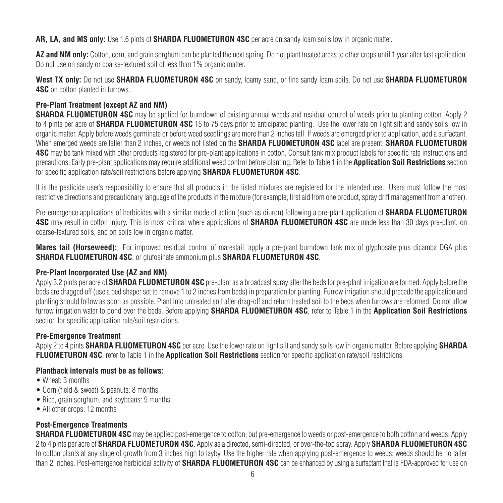**AR, LA, and MS only:** Use 1.6 pints of **SHARDA FLUOMETURON 4SC** per acre on sandy loam soils low in organic matter.

AZ and NM only: Cotton, corn, and grain sorghum can be planted the next spring. Do not plant treated areas to other crops until 1 year after last application. Do not use on sandy or coarse-textured soil of less than 1% organic matter.

**West TX only:** Do not use **SHARDA FLUOMETURON 4SC** on sandy, loamy sand, or fine sandy loam soils. Do not use **SHARDA FLUOMETURON 4SC** on cotton planted in furrows.

## **Pre-Plant Treatment (except AZ and NM)**

**SHARDA FLUOMETURON 4SC** may be applied for burndown of existing annual weeds and residual control of weeds prior to planting cotton. Apply 2 to 4 pints per acre of **SHARDA FLUOMETURON 4SC** 15 to 75 days prior to anticipated planting. Use the lower rate on light silt and sandy soils low in organic matter. Apply before weeds germinate or before weed seedlings are more than 2 inches tall. If weeds are emerged prior to application, add a surfactant. When emerged weeds are taller than 2 inches, or weeds not listed on the **SHARDA FLUOMETURON 4SC** label are present, **SHARDA FLUOMETURON 4SC** may be tank mixed with other products registered for pre-plant applications in cotton. Consult tank mix product labels for specific rate instructions and precautions. Early pre-plant applications may require additional weed control before planting. Refer to Table 1 in the **Application Soil Restrictions** section for specific application rate/soil restrictions before applying **SHARDA FLUOMETURON 4SC**.

It is the pesticide user's responsibility to ensure that all products in the listed mixtures are registered for the intended use. Users must follow the most restrictive directions and precautionary language of the products in the mixture (for example, first aid from one product, spray drift management from another).

Pre-emergence applications of herbicides with a similar mode of action (such as diuron) following a pre-plant application of **SHARDA FLUOMETURON 4SC** may result in cotton injury. This is most critical where applications of **SHARDA FLUOMETURON 4SC** are made less than 30 days pre-plant, on coarse-textured soils, and on soils low in organic matter.

**Mares tail (Horseweed):** For improved residual control of marestail, apply a pre-plant burndown tank mix of glyphosate plus dicamba DGA plus **SHARDA FLUOMETURON 4SC**, or glufosinate ammonium plus **SHARDA FLUOMETURON 4SC**.

## **Pre-Plant Incorporated Use (AZ and NM)**

Apply 3.2 pints per acre of **SHARDA FLUOMETURON 4SC** pre-plant as a broadcast spray after the beds for pre-plant irrigation are formed. Apply before the beds are dragged off (use a bed shaper set to remove 1 to 2 inches from beds) in preparation for planting. Furrow irrigation should precede the application and planting should follow as soon as possible. Plant into untreated soil after drag-off and return treated soil to the beds when furrows are reformed. Do not allow furrow irrigation water to pond over the beds. Before applying **SHARDA FLUOMETURON 4SC**, refer to Table 1 in the **Application Soil Restrictions**  section for specific application rate/soil restrictions.

## **Pre-Emergence Treatment**

Apply 2 to 4 pints **SHARDA FLUOMETURON 4SC** per acre. Use the lower rate on light silt and sandy soils low in organic matter. Before applying **SHARDA FLUOMETURON 4SC**, refer to Table 1 in the **Application Soil Restrictions** section for specific application rate/soil restrictions.

## **Plantback intervals must be as follows:**

- Wheat: 3 months
- Corn (field & sweet) & peanuts: 8 months
- Rice, grain sorghum, and soybeans: 9 months
- All other crops: 12 months

## **Post-Emergence Treatments**

**SHARDA FLUOMETURON 4SC** may be applied post-emergence to cotton, but pre-emergence to weeds or post-emergence to both cotton and weeds. Apply 2 to 4 pints per acre of **SHARDA FLUOMETURON 4SC**. Apply as a directed, semi-directed, or over-the-top spray. Apply **SHARDA FLUOMETURON 4SC** to cotton plants at any stage of growth from 3 inches high to layby. Use the higher rate when applying post-emergence to weeds; weeds should be no taller than 2 inches. Post-emergence herbicidal activity of **SHARDA FLUOMETURON 4SC** can be enhanced by using a surfactant that is FDA-approved for use on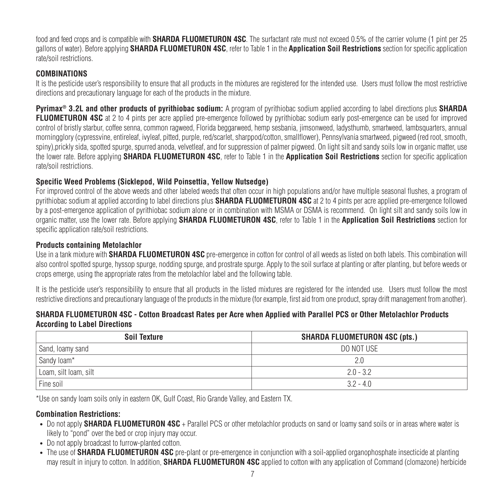food and feed crops and is compatible with **SHARDA FLUOMETURON 4SC**. The surfactant rate must not exceed 0.5% of the carrier volume (1 pint per 25 gallons of water). Before applying **SHARDA FLUOMETURON 4SC**, refer to Table 1 in the **Application Soil Restrictions** section for specific application rate/soil restrictions.

## **COMBINATIONS**

It is the pesticide user's responsibility to ensure that all products in the mixtures are registered for the intended use. Users must follow the most restrictive directions and precautionary language for each of the products in the mixture.

**Pyrimax® 3.2L and other products of pyrithiobac sodium:** A program of pyrithiobac sodium applied according to label directions plus **SHARDA FLUOMETURON 4SC** at 2 to 4 pints per acre applied pre-emergence followed by pyrithiobac sodium early post-emergence can be used for improved control of bristly starbur, coffee senna, common ragweed, Florida beggarweed, hemp sesbania, jimsonweed, ladysthumb, smartweed, lambsquarters, annual morningglory (cypressvine, entireleaf, ivyleaf, pitted, purple, red/scarlet, sharppod/cotton, smallflower), Pennsylvania smartweed, pigweed (red root, smooth, spiny),prickly sida, spotted spurge, spurred anoda, velvetleaf, and for suppression of palmer pigweed. On light silt and sandy soils low in organic matter, use the lower rate. Before applying **SHARDA FLUOMETURON 4SC**, refer to Table 1 in the **Application Soil Restrictions** section for specific application rate/soil restrictions.

## **Specific Weed Problems (Sicklepod, Wild Poinsettia, Yellow Nutsedge)**

For improved control of the above weeds and other labeled weeds that often occur in high populations and/or have multiple seasonal flushes, a program of pyrithiobac sodium at applied according to label directions plus **SHARDA FLUOMETURON 4SC** at 2 to 4 pints per acre applied pre-emergence followed by a post-emergence application of pyrithiobac sodium alone or in combination with MSMA or DSMA is recommend. On light silt and sandy soils low in organic matter, use the lower rate. Before applying **SHARDA FLUOMETURON 4SC**, refer to Table 1 in the **Application Soil Restrictions** section for specific application rate/soil restrictions.

## **Products containing Metolachlor**

Use in a tank mixture with **SHARDA FLUOMETURON 4SC** pre-emergence in cotton for control of all weeds as listed on both labels. This combination will also control spotted spurge, hyssop spurge, nodding spurge, and prostrate spurge. Apply to the soil surface at planting or after planting, but before weeds or crops emerge, using the appropriate rates from the metolachlor label and the following table.

It is the pesticide user's responsibility to ensure that all products in the listed mixtures are registered for the intended use. Users must follow the most restrictive directions and precautionary language of the products in the mixture (for example, first aid from one product, spray drift management from another).

### **SHARDA FLUOMETURON 4SC - Cotton Broadcast Rates per Acre when Applied with Parallel PCS or Other Metolachlor Products According to Label Directions**

| <b>Soil Texture</b>   | <b>SHARDA FLUOMETURON 4SC (pts.)</b> |  |  |
|-----------------------|--------------------------------------|--|--|
| Sand, Ioamy sand      | DO NOT USE                           |  |  |
| Sandy loam*           | 2.0                                  |  |  |
| Loam, silt loam, silt | $2.0 - 3.2$                          |  |  |
| Fine soil             | $32 - 40$                            |  |  |

\*Use on sandy loam soils only in eastern OK, Gulf Coast, Rio Grande Valley, and Eastern TX.

## **Combination Restrictions:**

- Do not apply **SHARDA FLUOMETURON 4SC** + Parallel PCS or other metolachlor products on sand or loamy sand soils or in areas where water is likely to "pond" over the bed or crop injury may occur.
- Do not apply broadcast to furrow-planted cotton.
- The use of **SHARDA FLUOMETURON 4SC** pre-plant or pre-emergence in conjunction with a soil-applied organophosphate insecticide at planting may result in injury to cotton. In addition, **SHARDA FLUOMETURON 4SC** applied to cotton with any application of Command (clomazone) herbicide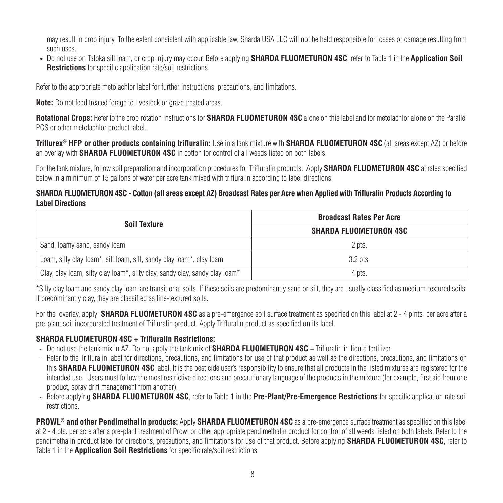may result in crop injury. To the extent consistent with applicable law, Sharda USA LLC will not be held responsible for losses or damage resulting from such uses.

• Do not use on Taloka silt loam, or crop injury may occur. Before applying **SHARDA FLUOMETURON 4SC**, refer to Table 1 in the **Application Soil Restrictions** for specific application rate/soil restrictions.

Refer to the appropriate metolachlor label for further instructions, precautions, and limitations.

**Note:** Do not feed treated forage to livestock or graze treated areas.

**Rotational Crops:** Refer to the crop rotation instructions for **SHARDA FLUOMETURON 4SC** alone on this label and for metolachlor alone on the Parallel PCS or other metolachlor product label.

**Triflurex® HFP or other products containing trifluralin:** Use in a tank mixture with **SHARDA FLUOMETURON 4SC** (all areas except AZ) or before an overlay with **SHARDA FLUOMETURON 4SC** in cotton for control of all weeds listed on both labels.

For the tank mixture, follow soil preparation and incorporation procedures for Trifluralin products. Apply **SHARDA FLUOMETURON 4SC** at rates specified below in a minimum of 15 gallons of water per acre tank mixed with trifluralin according to label directions.

### **SHARDA FLUOMETURON 4SC - Cotton (all areas except AZ) Broadcast Rates per Acre when Applied with Trifluralin Products According to Label Directions**

| Soil Texture                                                                | <b>Broadcast Rates Per Acre</b> |  |  |
|-----------------------------------------------------------------------------|---------------------------------|--|--|
|                                                                             | <b>SHARDA FLUOMETURON 4SC</b>   |  |  |
| Sand, Ioamy sand, sandy Ioam                                                | 2 pts.                          |  |  |
| Loam, silty clay loam*, silt loam, silt, sandy clay loam*, clay loam        | 3.2 pts.                        |  |  |
| Clay, clay loam, silty clay loam*, silty clay, sandy clay, sandy clay loam* | 4 pts.                          |  |  |

\*Silty clay loam and sandy clay loam are transitional soils. If these soils are predominantly sand or silt, they are usually classified as medium-textured soils. If predominantly clay, they are classified as fine-textured soils.

For the overlay, apply **SHARDA FLUOMETURON 4SC** as a pre-emergence soil surface treatment as specified on this label at 2 - 4 pints per acre after a pre-plant soil incorporated treatment of Trifluralin product. Apply Trifluralin product as specified on its label.

## **SHARDA FLUOMETURON 4SC + Trifluralin Restrictions:**

- Do not use the tank mix in AZ. Do not apply the tank mix of **SHARDA FLUOMETURON 4SC** + Trifluralin in liquid fertilizer.
- Refer to the Trifluralin label for directions, precautions, and limitations for use of that product as well as the directions, precautions, and limitations on this **SHARDA FLUOMETURON 4SC** label. It is the pesticide user's responsibility to ensure that all products in the listed mixtures are registered for the intended use. Users must follow the most restrictive directions and precautionary language of the products in the mixture (for example, first aid from one product, spray drift management from another).
- Before applying **SHARDA FLUOMETURON 4SC**, refer to Table 1 in the **Pre-Plant/Pre-Emergence Restrictions** for specific application rate soil restrictions.

**PROWL® and other Pendimethalin products:** Apply **SHARDA FLUOMETURON 4SC** as a pre-emergence surface treatment as specified on this label at 2 - 4 pts. per acre after a pre-plant treatment of Prowl or other appropriate pendimethalin product for control of all weeds listed on both labels. Refer to the pendimethalin product label for directions, precautions, and limitations for use of that product. Before applying **SHARDA FLUOMETURON 4SC**, refer to Table 1 in the **Application Soil Restrictions** for specific rate/soil restrictions.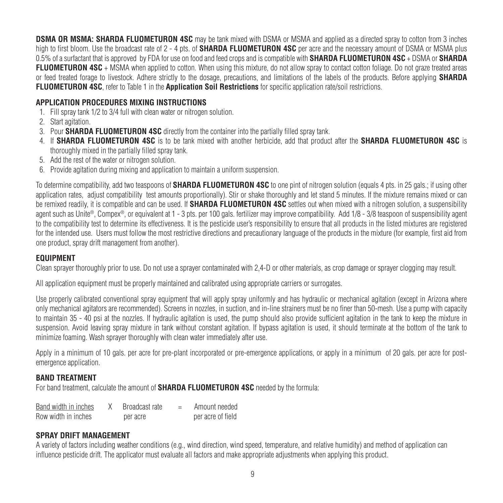**DSMA OR MSMA: SHARDA FLUOMETURON 4SC** may be tank mixed with DSMA or MSMA and applied as a directed spray to cotton from 3 inches high to first bloom. Use the broadcast rate of 2 - 4 pts. of **SHARDA FLUOMETURON 4SC** per acre and the necessary amount of DSMA or MSMA plus 0.5% of a surfactant that is approved by FDA for use on food and feed crops and is compatible with **SHARDA FLUOMETURON 4SC** + DSMA or **SHARDA FLUOMETURON 4SC** + MSMA when applied to cotton. When using this mixture, do not allow spray to contact cotton foliage. Do not graze treated areas or feed treated forage to livestock. Adhere strictly to the dosage, precautions, and limitations of the labels of the products. Before applying **SHARDA FLUOMETURON 4SC**, refer to Table 1 in the **Application Soil Restrictions** for specific application rate/soil restrictions.

#### **APPLICATION PROCEDURES MIXING INSTRUCTIONS**

- 1. Fill spray tank 1/2 to 3/4 full with clean water or nitrogen solution.
- 2. Start agitation.
- 3. Pour **SHARDA FLUOMETURON 4SC** directly from the container into the partially filled spray tank.
- 4. If **SHARDA FLUOMETURON 4SC** is to be tank mixed with another herbicide, add that product after the **SHARDA FLUOMETURON 4SC** is thoroughly mixed in the partially filled spray tank.
- 5. Add the rest of the water or nitrogen solution.
- 6. Provide agitation during mixing and application to maintain a uniform suspension.

To determine compatibility, add two teaspoons of **SHARDA FLUOMETURON 4SC** to one pint of nitrogen solution (equals 4 pts. in 25 gals.; if using other application rates, adjust compatibility test amounts proportionally). Stir or shake thoroughly and let stand 5 minutes. If the mixture remains mixed or can be remixed readily, it is compatible and can be used. If **SHARDA FLUOMETURON 4SC** settles out when mixed with a nitrogen solution, a suspensibility agent such as Unite®, Compex®, or equivalent at 1 - 3 pts. per 100 gals. fertilizer may improve compatibility. Add 1/8 - 3/8 teaspoon of suspensibility agent to the compatibility test to determine its effectiveness. It is the pesticide user's responsibility to ensure that all products in the listed mixtures are registered for the intended use. Users must follow the most restrictive directions and precautionary language of the products in the mixture (for example, first aid from one product, spray drift management from another).

#### **EQUIPMENT**

Clean sprayer thoroughly prior to use. Do not use a sprayer contaminated with 2,4-D or other materials, as crop damage or sprayer clogging may result.

All application equipment must be properly maintained and calibrated using appropriate carriers or surrogates.

Use properly calibrated conventional spray equipment that will apply spray uniformly and has hydraulic or mechanical agitation (except in Arizona where only mechanical agitators are recommended). Screens in nozzles, in suction, and in-line strainers must be no finer than 50-mesh. Use a pump with capacity to maintain 35 - 40 psi at the nozzles. If hydraulic agitation is used, the pump should also provide sufficient agitation in the tank to keep the mixture in suspension. Avoid leaving spray mixture in tank without constant agitation. If bypass agitation is used, it should terminate at the bottom of the tank to minimize foaming. Wash sprayer thoroughly with clean water immediately after use.

Apply in a minimum of 10 gals. per acre for pre-plant incorporated or pre-emergence applications, or apply in a minimum of 20 gals. per acre for postemergence application.

#### **BAND TREATMENT**

For band treatment, calculate the amount of **SHARDA FLUOMETURON 4SC** needed by the formula:

| Band width in inches | Broadcast rate | $=$ | Amount needed     |
|----------------------|----------------|-----|-------------------|
| Row width in inches  | per acre       |     | per acre of field |

#### **SPRAY DRIFT MANAGEMENT**

A variety of factors including weather conditions (e.g., wind direction, wind speed, temperature, and relative humidity) and method of application can influence pesticide drift. The applicator must evaluate all factors and make appropriate adjustments when applying this product.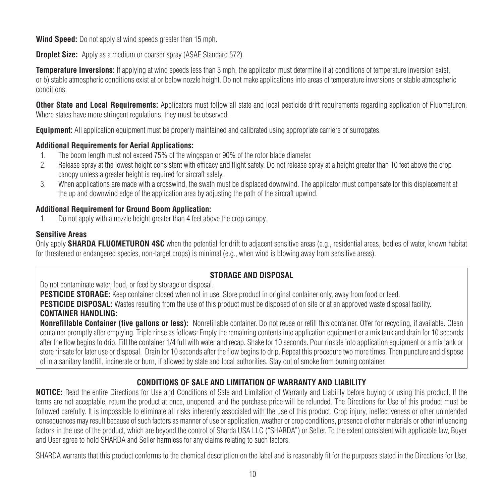**Wind Speed:** Do not apply at wind speeds greater than 15 mph.

**Droplet Size:** Apply as a medium or coarser spray (ASAE Standard 572).

**Temperature Inversions:** If applying at wind speeds less than 3 mph, the applicator must determine if a) conditions of temperature inversion exist, or b) stable atmospheric conditions exist at or below nozzle height. Do not make applications into areas of temperature inversions or stable atmospheric conditions.

**Other State and Local Requirements:** Applicators must follow all state and local pesticide drift requirements regarding application of Fluometuron. Where states have more stringent regulations, they must be observed.

**Equipment:** All application equipment must be properly maintained and calibrated using appropriate carriers or surrogates.

## **Additional Requirements for Aerial Applications:**

- 1. The boom length must not exceed 75% of the wingspan or 90% of the rotor blade diameter.
- 2. Release spray at the lowest height consistent with efficacy and flight safety. Do not release spray at a height greater than 10 feet above the crop canopy unless a greater height is required for aircraft safety.
- 3. When applications are made with a crosswind, the swath must be displaced downwind. The applicator must compensate for this displacement at the up and downwind edge of the application area by adjusting the path of the aircraft upwind.

## **Additional Requirement for Ground Boom Application:**

1. Do not apply with a nozzle height greater than 4 feet above the crop canopy.

## **Sensitive Areas**

Only apply **SHARDA FLUOMETURON 4SC** when the potential for drift to adjacent sensitive areas (e.g., residential areas, bodies of water, known habitat for threatened or endangered species, non-target crops) is minimal (e.g., when wind is blowing away from sensitive areas).

## **STORAGE AND DISPOSAL**

Do not contaminate water, food, or feed by storage or disposal.

**PESTICIDE STORAGE:** Keep container closed when not in use. Store product in original container only, away from food or feed. **PESTICIDE DISPOSAL:** Wastes resulting from the use of this product must be disposed of on site or at an approved waste disposal facility. **CONTAINER HANDLING:**

**Nonrefillable Container (five gallons or less):** Nonrefillable container. Do not reuse or refill this container. Offer for recycling, if available. Clean container promptly after emptying. Triple rinse as follows: Empty the remaining contents into application equipment or a mix tank and drain for 10 seconds after the flow begins to drip. Fill the container 1/4 full with water and recap. Shake for 10 seconds. Pour rinsate into application equipment or a mix tank or store rinsate for later use or disposal. Drain for 10 seconds after the flow begins to drip. Repeat this procedure two more times. Then puncture and dispose of in a sanitary landfill, incinerate or burn, if allowed by state and local authorities. Stay out of smoke from burning container.

## **CONDITIONS OF SALE AND LIMITATION OF WARRANTY AND LIABILITY**

**NOTICE:** Read the entire Directions for Use and Conditions of Sale and Limitation of Warranty and Liability before buying or using this product. If the terms are not acceptable, return the product at once, unopened, and the purchase price will be refunded. The Directions for Use of this product must be followed carefully. It is impossible to eliminate all risks inherently associated with the use of this product. Crop injury, ineffectiveness or other unintended consequences may result because of such factors as manner of use or application, weather or crop conditions, presence of other materials or other influencing factors in the use of the product, which are beyond the control of Sharda USA LLC ("SHARDA") or Seller. To the extent consistent with applicable law, Buyer and User agree to hold SHARDA and Seller harmless for any claims relating to such factors.

SHARDA warrants that this product conforms to the chemical description on the label and is reasonably fit for the purposes stated in the Directions for Use,